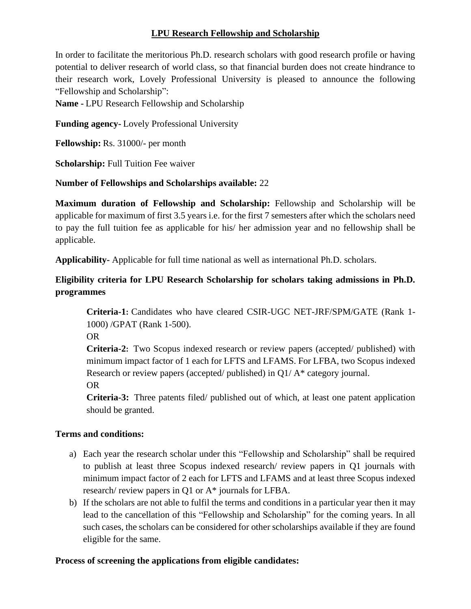### **LPU Research Fellowship and Scholarship**

In order to facilitate the meritorious Ph.D. research scholars with good research profile or having potential to deliver research of world class, so that financial burden does not create hindrance to their research work, Lovely Professional University is pleased to announce the following "Fellowship and Scholarship":

**Name -** LPU Research Fellowship and Scholarship

**Funding agency-** Lovely Professional University

**Fellowship:** Rs. 31000/- per month

**Scholarship:** Full Tuition Fee waiver

### **Number of Fellowships and Scholarships available:** 22

**Maximum duration of Fellowship and Scholarship:** Fellowship and Scholarship will be applicable for maximum of first 3.5 years i.e. for the first 7 semesters after which the scholars need to pay the full tuition fee as applicable for his/ her admission year and no fellowship shall be applicable.

**Applicability-** Applicable for full time national as well as international Ph.D. scholars.

# **Eligibility criteria for LPU Research Scholarship for scholars taking admissions in Ph.D. programmes**

**Criteria-1:** Candidates who have cleared CSIR-UGC NET-JRF/SPM/GATE (Rank 1- 1000) /GPAT (Rank 1-500).

OR

**Criteria-2:** Two Scopus indexed research or review papers (accepted/ published) with minimum impact factor of 1 each for LFTS and LFAMS. For LFBA, two Scopus indexed Research or review papers (accepted/ published) in Q1/ A\* category journal.

OR

**Criteria-3:** Three patents filed/ published out of which, at least one patent application should be granted.

### **Terms and conditions:**

- a) Each year the research scholar under this "Fellowship and Scholarship" shall be required to publish at least three Scopus indexed research/ review papers in Q1 journals with minimum impact factor of 2 each for LFTS and LFAMS and at least three Scopus indexed research/ review papers in Q1 or A\* journals for LFBA.
- b) If the scholars are not able to fulfil the terms and conditions in a particular year then it may lead to the cancellation of this "Fellowship and Scholarship" for the coming years. In all such cases, the scholars can be considered for other scholarships available if they are found eligible for the same.

## **Process of screening the applications from eligible candidates:**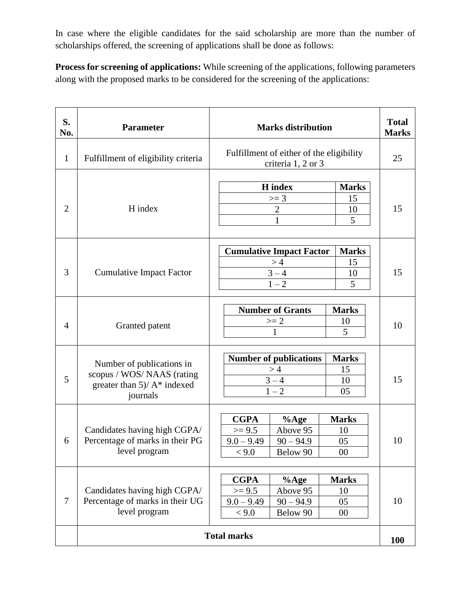In case where the eligible candidates for the said scholarship are more than the number of scholarships offered, the screening of applications shall be done as follows:

**Process for screening of applications:** While screening of the applications, following parameters along with the proposed marks to be considered for the screening of the applications:

| S.<br>No.      | <b>Parameter</b>                                                                                  | <b>Marks distribution</b>                                                                                                                | <b>Total</b><br><b>Marks</b> |
|----------------|---------------------------------------------------------------------------------------------------|------------------------------------------------------------------------------------------------------------------------------------------|------------------------------|
| $\mathbf{1}$   | Fulfillment of eligibility criteria                                                               | Fulfillment of either of the eligibility<br>criteria 1, 2 or 3                                                                           | 25                           |
| $\overline{2}$ | H index                                                                                           | <b>H</b> index<br><b>Marks</b><br>$>= 3$<br>15<br>$\sqrt{2}$<br>10<br>$\mathbf{1}$<br>5                                                  | 15                           |
| 3              | <b>Cumulative Impact Factor</b>                                                                   | <b>Cumulative Impact Factor</b><br><b>Marks</b><br>>4<br>15<br>$3 - 4$<br>10<br>$1 - 2$<br>5                                             | 15                           |
| $\overline{4}$ | Granted patent                                                                                    | <b>Number of Grants</b><br><b>Marks</b><br>$>= 2$<br>10<br>5<br>1                                                                        | 10                           |
| 5              | Number of publications in<br>scopus / WOS/NAAS (rating<br>greater than 5)/ A* indexed<br>journals | <b>Number of publications</b><br><b>Marks</b><br>>4<br>15<br>$3 - 4$<br>10<br>$1 - 2$<br>05                                              | 15                           |
| 6              | Candidates having high CGPA/<br>Percentage of marks in their PG<br>level program                  | <b>CGPA</b><br><b>Marks</b><br>$%$ Age<br>$>= 9.5$<br>Above 95<br>10<br>$9.0 - 9.49$<br>$90 - 94.9$<br>05<br>Below 90<br>< 9.0<br>00     | 10                           |
| $\overline{7}$ | Candidates having high CGPA/<br>Percentage of marks in their UG<br>level program                  | <b>CGPA</b><br><b>Marks</b><br>$%$ Age<br>$>= 9.5$<br>Above 95<br>10<br>$9.0 - 9.49$<br>$90 - 94.9$<br>05<br>< 9.0<br>Below 90<br>$00\,$ | 10                           |
|                | <b>Total marks</b>                                                                                |                                                                                                                                          | <b>100</b>                   |